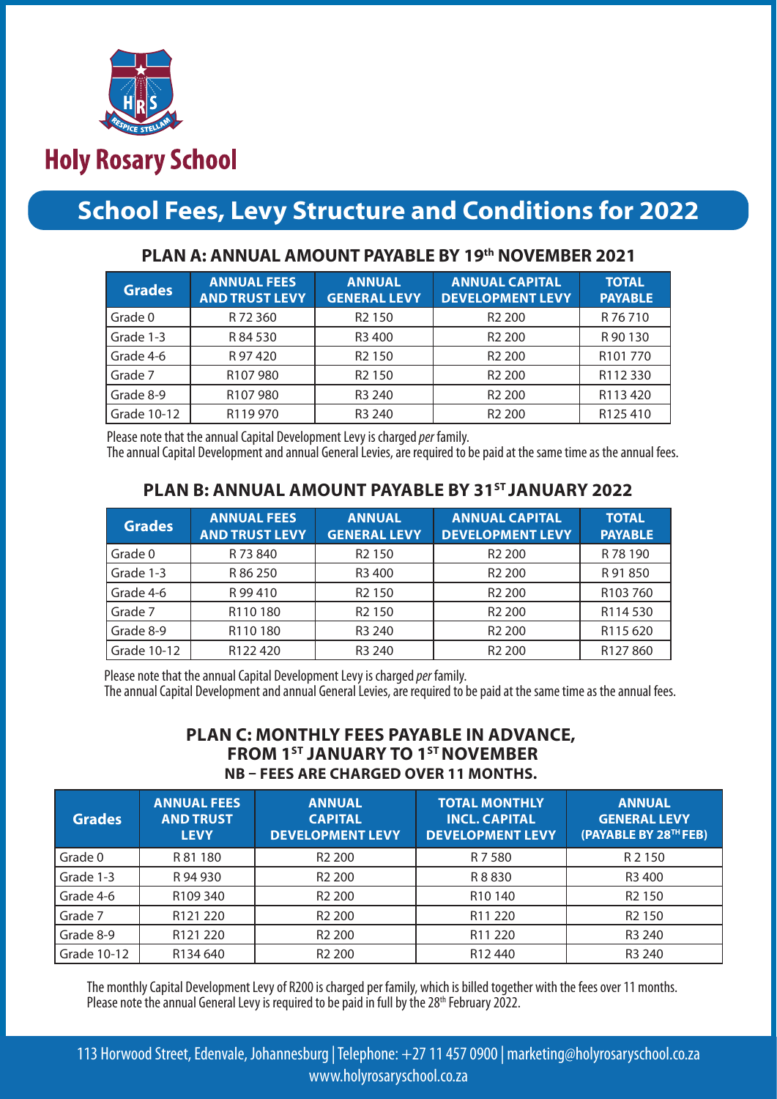

# **Holy Rosary School**

# **School Fees, Levy Structure and Conditions for 2022**

| <b>Grades</b> | <b>ANNUAL FEES</b><br><b>AND TRUST LEVY</b> | <b>ANNUAL</b><br><b>GENERAL LEVY</b> | <b>ANNUAL CAPITAL</b><br><b>DEVELOPMENT LEVY</b> | <b>TOTAL</b><br><b>PAYABLE</b> |
|---------------|---------------------------------------------|--------------------------------------|--------------------------------------------------|--------------------------------|
| Grade 0       | R 72 360                                    | R <sub>2</sub> 150                   | R <sub>2</sub> 200                               | R 76 710                       |
| Grade 1-3     | R 84 530                                    | R <sub>3</sub> 400                   | R <sub>2</sub> 200                               | R 90 130                       |
| Grade 4-6     | R 97 420                                    | R <sub>2</sub> 150                   | R <sub>2</sub> 200                               | R101770                        |
| Grade 7       | R <sub>107</sub> 980                        | R <sub>2</sub> 150                   | R <sub>2</sub> 200                               | R112 330                       |
| Grade 8-9     | R107980                                     | R <sub>3</sub> 240                   | R <sub>2</sub> 200                               | R113 420                       |
| Grade 10-12   | R119 970                                    | R <sub>3</sub> 240                   | R <sub>2</sub> 200                               | R125410                        |

### **PLAN A: ANNUAL AMOUNT PAYABLE BY 19th NOVEMBER 2021**

Please note that the annual Capital Development Levy is charged *per* family.

The annual Capital Development and annual General Levies, are required to be paid at the same time as the annual fees.

## **PLAN B: ANNUAL AMOUNT PAYABLE BY 31ST JANUARY 2022**

| <b>Grades</b> | <b>ANNUAL FEES</b><br><b>AND TRUST LEVY</b> | <b>ANNUAL</b><br><b>GENERAL LEVY</b> | <b>ANNUAL CAPITAL</b><br><b>DEVELOPMENT LEVY</b> | <b>TOTAL</b><br><b>PAYABLE</b> |
|---------------|---------------------------------------------|--------------------------------------|--------------------------------------------------|--------------------------------|
| Grade 0       | R 73 840                                    | R <sub>2</sub> 150                   | R <sub>2</sub> 200                               | R 78 190                       |
| Grade 1-3     | R 86 250                                    | R <sub>3</sub> 400                   | R <sub>2</sub> 200                               | R 91 850                       |
| Grade 4-6     | R 99 410                                    | R <sub>2</sub> 150                   | R <sub>2</sub> 200                               | R103760                        |
| Grade 7       | R110180                                     | R <sub>2</sub> 150                   | R <sub>2</sub> 200                               | R114530                        |
| Grade 8-9     | R110180                                     | R <sub>3</sub> 240                   | R <sub>2</sub> 200                               | R115 620                       |
| Grade 10-12   | R <sub>122</sub> 420                        | R <sub>3</sub> 240                   | R <sub>2</sub> 200                               | R127860                        |

Please note that the annual Capital Development Levy is charged *per* family.

The annual Capital Development and annual General Levies, are required to be paid at the same time as the annual fees.

### **PLAN C: MONTHLY FEES PAYABLE IN ADVANCE, FROM 1ST JANUARY TO 1ST NOVEMBER NB – FEES ARE CHARGED OVER 11 MONTHS.**

| <b>Grades</b> | <b>ANNUAL FEES</b><br><b>AND TRUST</b><br><b>LEVY</b> | <b>ANNUAL</b><br><b>CAPITAL</b><br><b>DEVELOPMENT LEVY</b> | <b>TOTAL MONTHLY</b><br><b>INCL. CAPITAL</b><br><b>DEVELOPMENT LEVY</b> | <b>ANNUAL</b><br><b>GENERAL LEVY</b><br>(PAYABLE BY 28TH FEB) |
|---------------|-------------------------------------------------------|------------------------------------------------------------|-------------------------------------------------------------------------|---------------------------------------------------------------|
| Grade 0       | R 81 180                                              | R <sub>2</sub> 200                                         | R 7 5 8 0                                                               | R 2 150                                                       |
| Grade 1-3     | R 94 930                                              | R <sub>2</sub> 200                                         | R 8 8 3 0                                                               | R3 400                                                        |
| Grade 4-6     | R109 340                                              | R <sub>2</sub> 200                                         | R <sub>10</sub> 140                                                     | R <sub>2</sub> 150                                            |
| Grade 7       | R121 220                                              | R <sub>2</sub> 200                                         | R <sub>11</sub> 220                                                     | R <sub>2</sub> 150                                            |
| Grade 8-9     | R121 220                                              | R <sub>2</sub> 200                                         | R <sub>11</sub> 220                                                     | R <sub>3</sub> 240                                            |
| Grade 10-12   | R134 640                                              | R <sub>2</sub> 200                                         | R <sub>12</sub> 440                                                     | R <sub>3</sub> 240                                            |

The monthly Capital Development Levy of R200 is charged per family, which is billed together with the fees over 11 months. Please note the annual General Levy is required to be paid in full by the 28<sup>th</sup> February 2022.